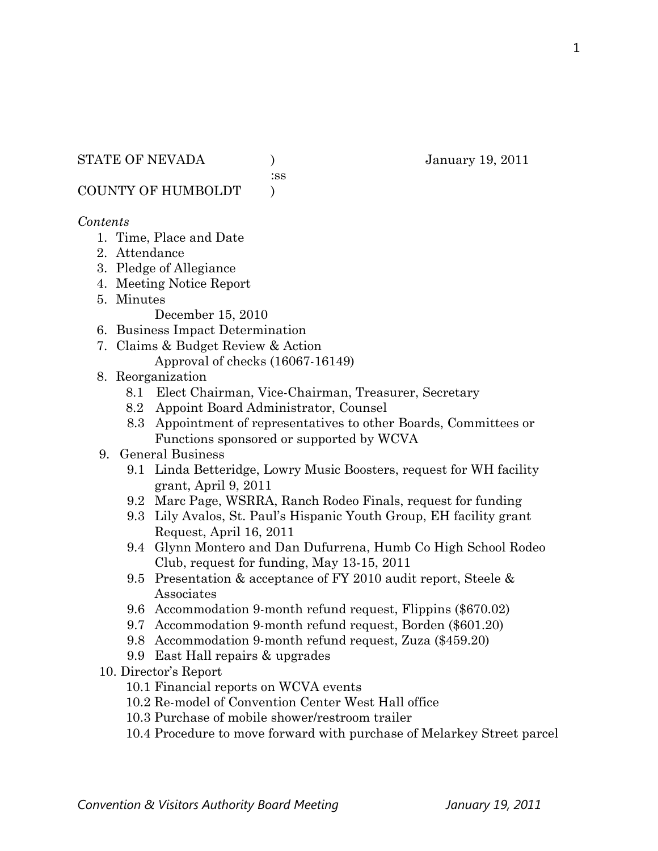:ss

COUNTY OF HUMBOLDT )

### *Contents*

- 1. Time, Place and Date
- 2. Attendance
- 3. Pledge of Allegiance
- 4. Meeting Notice Report
- 5. Minutes

December 15, 2010

- 6. Business Impact Determination
- 7. Claims & Budget Review & Action Approval of checks (16067-16149)
- 8. Reorganization
	- 8.1 Elect Chairman, Vice-Chairman, Treasurer, Secretary
	- 8.2 Appoint Board Administrator, Counsel
	- 8.3 Appointment of representatives to other Boards, Committees or Functions sponsored or supported by WCVA
- 9. General Business
	- 9.1 Linda Betteridge, Lowry Music Boosters, request for WH facility grant, April 9, 2011
	- 9.2 Marc Page, WSRRA, Ranch Rodeo Finals, request for funding
	- 9.3 Lily Avalos, St. Paul's Hispanic Youth Group, EH facility grant Request, April 16, 2011
	- 9.4 Glynn Montero and Dan Dufurrena, Humb Co High School Rodeo Club, request for funding, May 13-15, 2011
	- 9.5 Presentation & acceptance of FY 2010 audit report, Steele & Associates
	- 9.6 Accommodation 9-month refund request, Flippins (\$670.02)
	- 9.7 Accommodation 9-month refund request, Borden (\$601.20)
	- 9.8 Accommodation 9-month refund request, Zuza (\$459.20)
	- 9.9 East Hall repairs & upgrades
- 10. Director's Report
	- 10.1 Financial reports on WCVA events
	- 10.2 Re-model of Convention Center West Hall office
	- 10.3 Purchase of mobile shower/restroom trailer
	- 10.4 Procedure to move forward with purchase of Melarkey Street parcel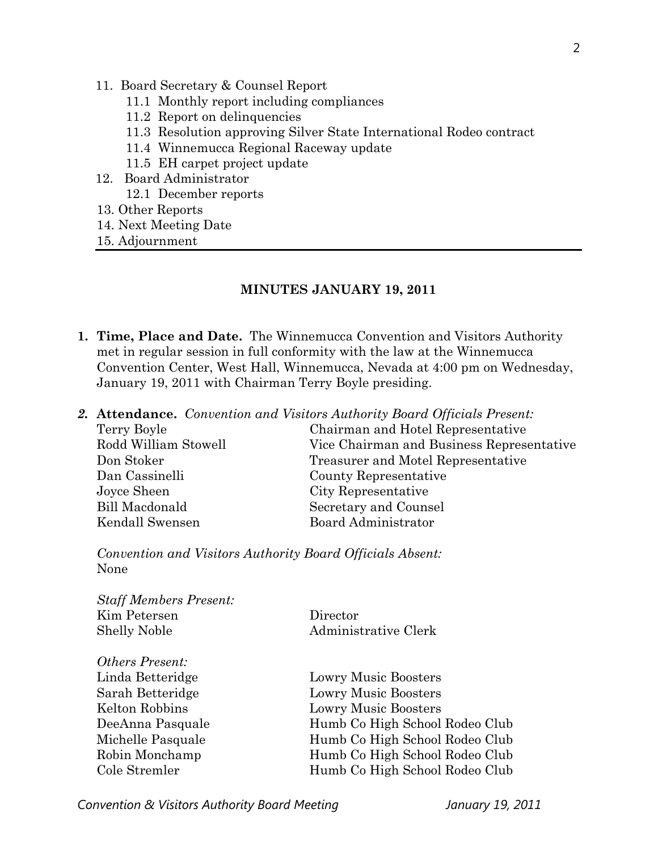- 11. Board Secretary & Counsel Report
	- 11.1 Monthly report including compliances
	- 11.2 Report on delinquencies
	- 11.3 Resolution approving Silver State International Rodeo contract
	- 11.4 Winnemucca Regional Raceway update
	- 11.5 EH carpet project update
- 12. Board Administrator 12.1 December reports
- 13. Other Reports
- 14. Next Meeting Date
- 15. Adjournment

#### **MINUTES JANUARY 19, 2011**

- **1. Time, Place and Date.** The Winnemucca Convention and Visitors Authority met in regular session in full conformity with the law at the Winnemucca Convention Center, West Hall, Winnemucca, Nevada at 4:00 pm on Wednesday, January 19, 2011 with Chairman Terry Boyle presiding.
- *2.* **Attendance.** *Convention and Visitors Authority Board Officials Present:*  Terry Boyle Chairman and Hotel Representative Rodd William Stowell Vice Chairman and Business Representative Don Stoker Treasurer and Motel Representative Dan Cassinelli County Representative Joyce Sheen City Representative Bill Macdonald Secretary and Counsel Kendall Swensen Board Administrator

*Convention and Visitors Authority Board Officials Absent:*  None

| Director                       |  |
|--------------------------------|--|
| Administrative Clerk           |  |
|                                |  |
| Lowry Music Boosters           |  |
| <b>Lowry Music Boosters</b>    |  |
| <b>Lowry Music Boosters</b>    |  |
| Humb Co High School Rodeo Club |  |
| Humb Co High School Rodeo Club |  |
| Humb Co High School Rodeo Club |  |
| Humb Co High School Rodeo Club |  |
|                                |  |

*Convention & Visitors Authority Board Meeting January 19, 2011*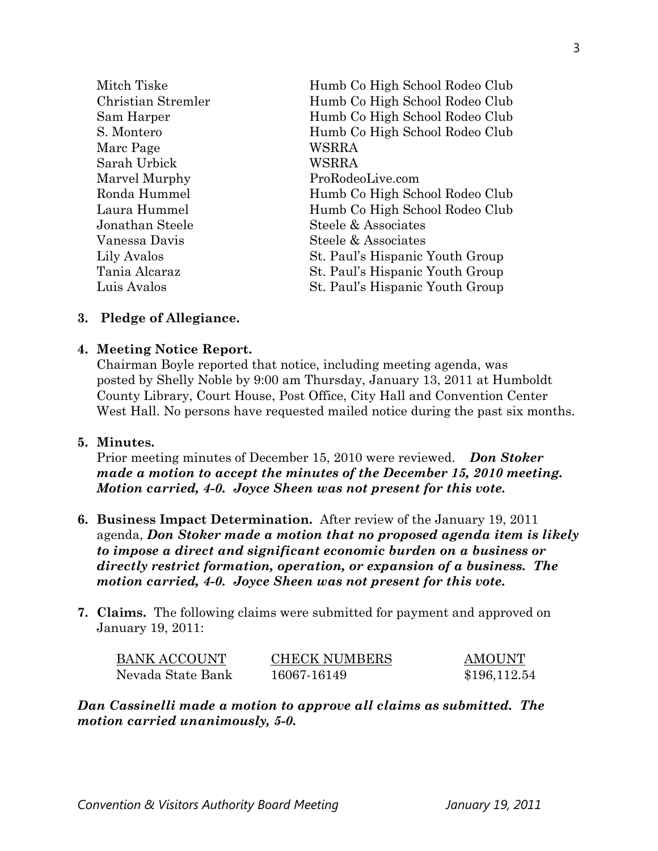| Mitch Tiske        | Humb Co High School Rodeo Club  |  |
|--------------------|---------------------------------|--|
| Christian Stremler | Humb Co High School Rodeo Club  |  |
| Sam Harper         | Humb Co High School Rodeo Club  |  |
| S. Montero         | Humb Co High School Rodeo Club  |  |
| Marc Page          | <b>WSRRA</b>                    |  |
| Sarah Urbick       | WSRRA                           |  |
| Marvel Murphy      | ProRodeoLive.com                |  |
| Ronda Hummel       | Humb Co High School Rodeo Club  |  |
| Laura Hummel       | Humb Co High School Rodeo Club  |  |
| Jonathan Steele    | Steele & Associates             |  |
| Vanessa Davis      | Steele & Associates             |  |
| Lily Avalos        | St. Paul's Hispanic Youth Group |  |
| Tania Alcaraz      | St. Paul's Hispanic Youth Group |  |
| Luis Avalos        | St. Paul's Hispanic Youth Group |  |

### **3. Pledge of Allegiance.**

#### **4. Meeting Notice Report.**

Chairman Boyle reported that notice, including meeting agenda, was posted by Shelly Noble by 9:00 am Thursday, January 13, 2011 at Humboldt County Library, Court House, Post Office, City Hall and Convention Center West Hall. No persons have requested mailed notice during the past six months.

### **5. Minutes.**

Prior meeting minutes of December 15, 2010 were reviewed. *Don Stoker made a motion to accept the minutes of the December 15, 2010 meeting. Motion carried, 4-0. Joyce Sheen was not present for this vote.* 

- **6. Business Impact Determination.** After review of the January 19, 2011 agenda, *Don Stoker made a motion that no proposed agenda item is likely to impose a direct and significant economic burden on a business or directly restrict formation, operation, or expansion of a business. The motion carried, 4-0. Joyce Sheen was not present for this vote.*
- **7. Claims.** The following claims were submitted for payment and approved on January 19, 2011:

| BANK ACCOUNT      | <b>CHECK NUMBERS</b> | <b>AMOUNT</b> |
|-------------------|----------------------|---------------|
| Nevada State Bank | 16067-16149          | \$196,112.54  |

*Dan Cassinelli made a motion to approve all claims as submitted. The motion carried unanimously, 5-0.*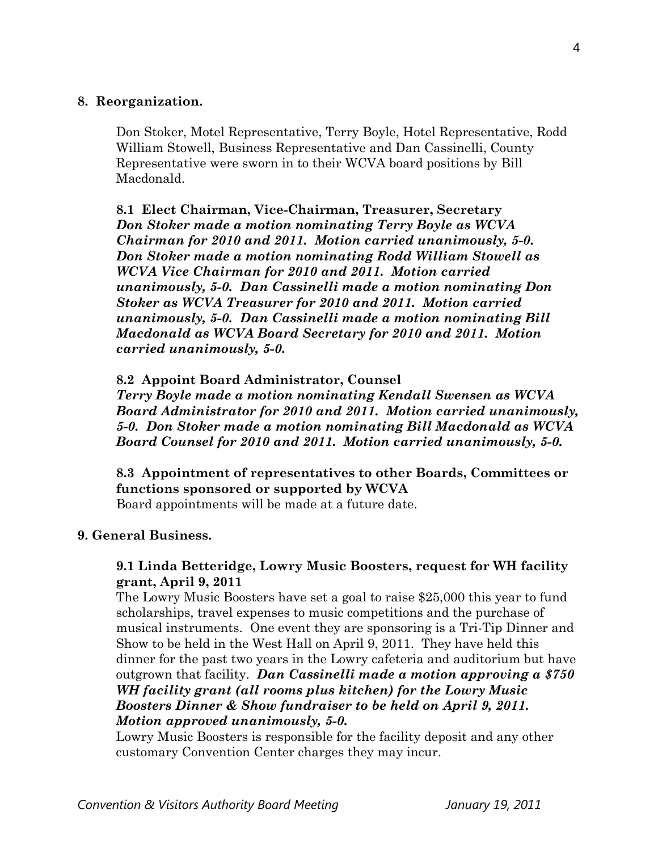### **8. Reorganization.**

Don Stoker, Motel Representative, Terry Boyle, Hotel Representative, Rodd William Stowell, Business Representative and Dan Cassinelli, County Representative were sworn in to their WCVA board positions by Bill Macdonald.

 **8.1 Elect Chairman, Vice-Chairman, Treasurer, Secretary**  *Don Stoker made a motion nominating Terry Boyle as WCVA Chairman for 2010 and 2011. Motion carried unanimously, 5-0. Don Stoker made a motion nominating Rodd William Stowell as WCVA Vice Chairman for 2010 and 2011. Motion carried unanimously, 5-0. Dan Cassinelli made a motion nominating Don Stoker as WCVA Treasurer for 2010 and 2011. Motion carried unanimously, 5-0. Dan Cassinelli made a motion nominating Bill Macdonald as WCVA Board Secretary for 2010 and 2011. Motion carried unanimously, 5-0.*

### **8.2 Appoint Board Administrator, Counsel**

*Terry Boyle made a motion nominating Kendall Swensen as WCVA Board Administrator for 2010 and 2011. Motion carried unanimously, 5-0. Don Stoker made a motion nominating Bill Macdonald as WCVA Board Counsel for 2010 and 2011. Motion carried unanimously, 5-0.* 

**8.3 Appointment of representatives to other Boards, Committees or functions sponsored or supported by WCVA**  Board appointments will be made at a future date.

### **9. General Business.**

### **9.1 Linda Betteridge, Lowry Music Boosters, request for WH facility grant, April 9, 2011**

The Lowry Music Boosters have set a goal to raise \$25,000 this year to fund scholarships, travel expenses to music competitions and the purchase of musical instruments. One event they are sponsoring is a Tri-Tip Dinner and Show to be held in the West Hall on April 9, 2011. They have held this dinner for the past two years in the Lowry cafeteria and auditorium but have outgrown that facility. *Dan Cassinelli made a motion approving a \$750 WH facility grant (all rooms plus kitchen) for the Lowry Music Boosters Dinner & Show fundraiser to be held on April 9, 2011. Motion approved unanimously, 5-0.* 

Lowry Music Boosters is responsible for the facility deposit and any other customary Convention Center charges they may incur.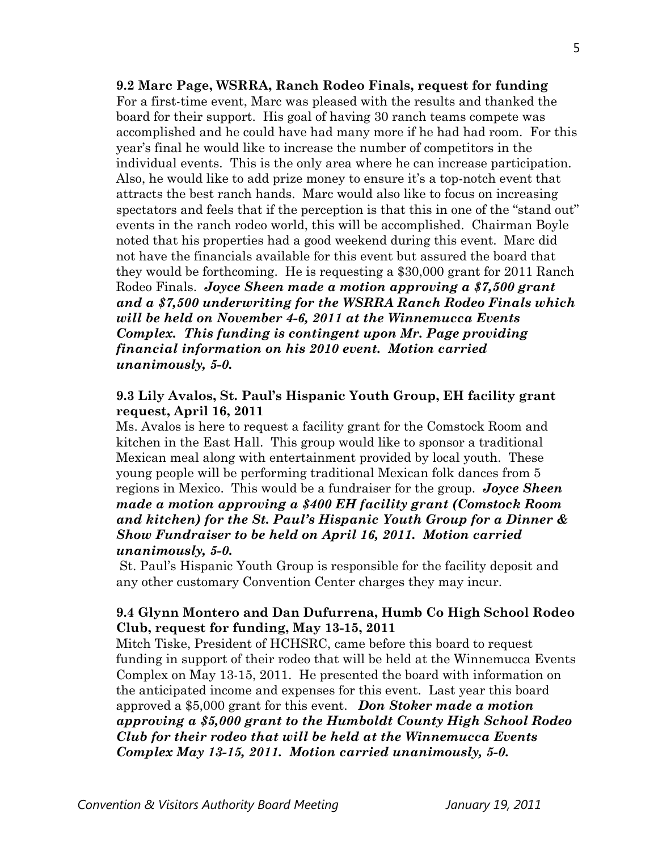board for their support. His goal of having 30 ranch teams compete was accomplished and he could have had many more if he had had room. For this year's final he would like to increase the number of competitors in the individual events. This is the only area where he can increase participation. Also, he would like to add prize money to ensure it's a top-notch event that attracts the best ranch hands. Marc would also like to focus on increasing spectators and feels that if the perception is that this in one of the "stand out" events in the ranch rodeo world, this will be accomplished. Chairman Boyle noted that his properties had a good weekend during this event. Marc did not have the financials available for this event but assured the board that they would be forthcoming. He is requesting a \$30,000 grant for 2011 Ranch Rodeo Finals. *Joyce Sheen made a motion approving a \$7,500 grant and a \$7,500 underwriting for the WSRRA Ranch Rodeo Finals which will be held on November 4-6, 2011 at the Winnemucca Events Complex. This funding is contingent upon Mr. Page providing financial information on his 2010 event. Motion carried unanimously, 5-0.* 

# **9.3 Lily Avalos, St. Paul's Hispanic Youth Group, EH facility grant request, April 16, 2011**

Ms. Avalos is here to request a facility grant for the Comstock Room and kitchen in the East Hall. This group would like to sponsor a traditional Mexican meal along with entertainment provided by local youth. These young people will be performing traditional Mexican folk dances from 5 regions in Mexico. This would be a fundraiser for the group. *Joyce Sheen made a motion approving a \$400 EH facility grant (Comstock Room and kitchen) for the St. Paul's Hispanic Youth Group for a Dinner & Show Fundraiser to be held on April 16, 2011. Motion carried unanimously, 5-0.* 

 St. Paul's Hispanic Youth Group is responsible for the facility deposit and any other customary Convention Center charges they may incur.

# **9.4 Glynn Montero and Dan Dufurrena, Humb Co High School Rodeo Club, request for funding, May 13-15, 2011**

Mitch Tiske, President of HCHSRC, came before this board to request funding in support of their rodeo that will be held at the Winnemucca Events Complex on May 13-15, 2011. He presented the board with information on the anticipated income and expenses for this event. Last year this board approved a \$5,000 grant for this event. *Don Stoker made a motion approving a \$5,000 grant to the Humboldt County High School Rodeo Club for their rodeo that will be held at the Winnemucca Events Complex May 13-15, 2011. Motion carried unanimously, 5-0.*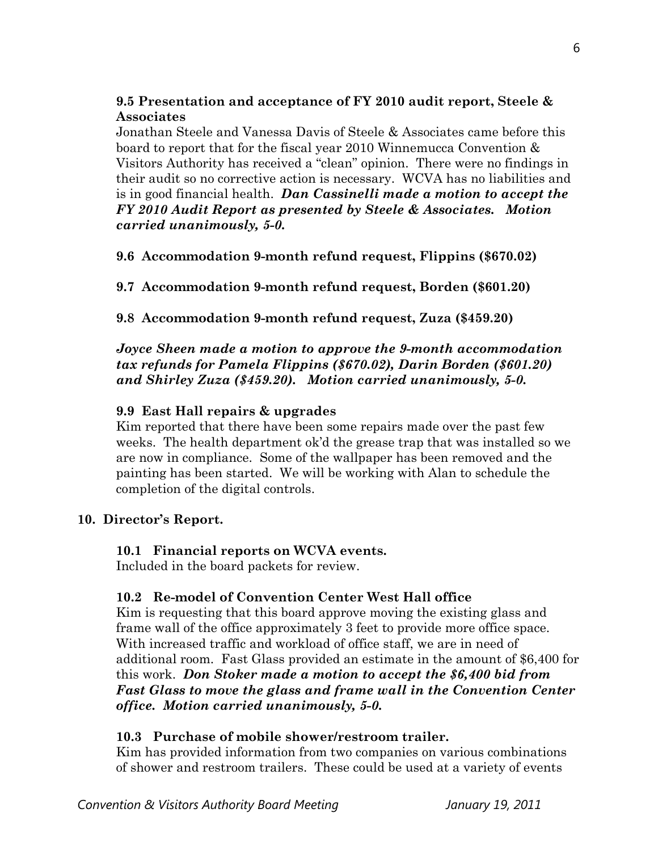# **9.5 Presentation and acceptance of FY 2010 audit report, Steele & Associates**

Jonathan Steele and Vanessa Davis of Steele & Associates came before this board to report that for the fiscal year 2010 Winnemucca Convention & Visitors Authority has received a "clean" opinion. There were no findings in their audit so no corrective action is necessary. WCVA has no liabilities and is in good financial health. *Dan Cassinelli made a motion to accept the FY 2010 Audit Report as presented by Steele & Associates. Motion carried unanimously, 5-0.* 

**9.6 Accommodation 9-month refund request, Flippins (\$670.02)** 

**9.7 Accommodation 9-month refund request, Borden (\$601.20)**

**9.8 Accommodation 9-month refund request, Zuza (\$459.20)** 

*Joyce Sheen made a motion to approve the 9-month accommodation tax refunds for Pamela Flippins (\$670.02), Darin Borden (\$601.20) and Shirley Zuza (\$459.20). Motion carried unanimously, 5-0.*

# **9.9 East Hall repairs & upgrades**

Kim reported that there have been some repairs made over the past few weeks. The health department ok'd the grease trap that was installed so we are now in compliance. Some of the wallpaper has been removed and the painting has been started. We will be working with Alan to schedule the completion of the digital controls.

# **10. Director's Report.**

# **10.1 Financial reports on WCVA events.**

Included in the board packets for review.

# **10.2 Re-model of Convention Center West Hall office**

Kim is requesting that this board approve moving the existing glass and frame wall of the office approximately 3 feet to provide more office space. With increased traffic and workload of office staff, we are in need of additional room. Fast Glass provided an estimate in the amount of \$6,400 for this work. *Don Stoker made a motion to accept the \$6,400 bid from Fast Glass to move the glass and frame wall in the Convention Center office. Motion carried unanimously, 5-0.* 

# **10.3 Purchase of mobile shower/restroom trailer.**

Kim has provided information from two companies on various combinations of shower and restroom trailers. These could be used at a variety of events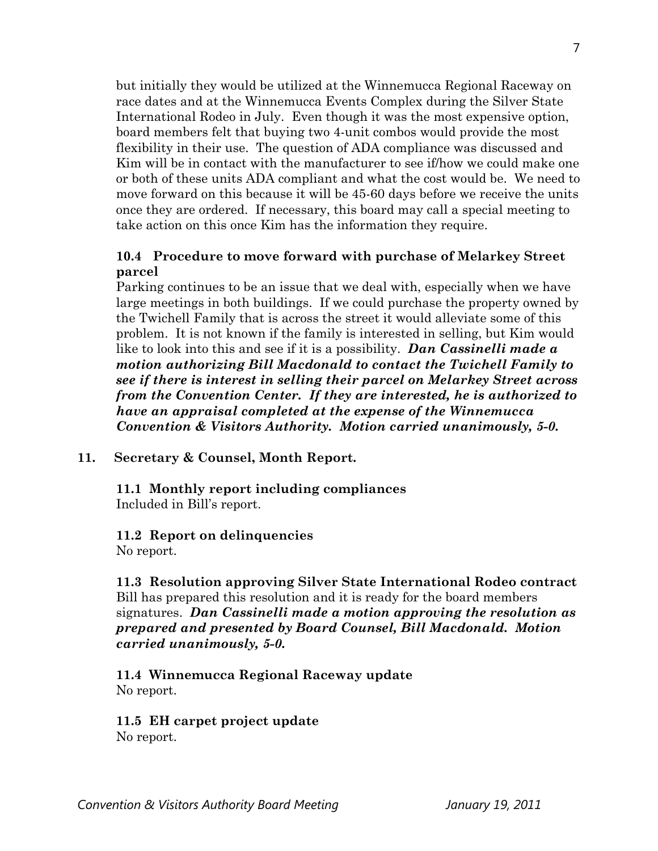but initially they would be utilized at the Winnemucca Regional Raceway on race dates and at the Winnemucca Events Complex during the Silver State International Rodeo in July. Even though it was the most expensive option, board members felt that buying two 4-unit combos would provide the most flexibility in their use. The question of ADA compliance was discussed and Kim will be in contact with the manufacturer to see if/how we could make one or both of these units ADA compliant and what the cost would be. We need to move forward on this because it will be 45-60 days before we receive the units once they are ordered. If necessary, this board may call a special meeting to take action on this once Kim has the information they require.

### **10.4 Procedure to move forward with purchase of Melarkey Street parcel**

Parking continues to be an issue that we deal with, especially when we have large meetings in both buildings. If we could purchase the property owned by the Twichell Family that is across the street it would alleviate some of this problem. It is not known if the family is interested in selling, but Kim would like to look into this and see if it is a possibility. *Dan Cassinelli made a motion authorizing Bill Macdonald to contact the Twichell Family to see if there is interest in selling their parcel on Melarkey Street across from the Convention Center. If they are interested, he is authorized to have an appraisal completed at the expense of the Winnemucca Convention & Visitors Authority. Motion carried unanimously, 5-0.*

### **11. Secretary & Counsel, Month Report.**

**11.1 Monthly report including compliances**  Included in Bill's report.

# **11.2 Report on delinquencies**

No report.

**11.3 Resolution approving Silver State International Rodeo contract**  Bill has prepared this resolution and it is ready for the board members signatures. *Dan Cassinelli made a motion approving the resolution as prepared and presented by Board Counsel, Bill Macdonald. Motion carried unanimously, 5-0.* 

**11.4 Winnemucca Regional Raceway update**  No report.

**11.5 EH carpet project update**  No report.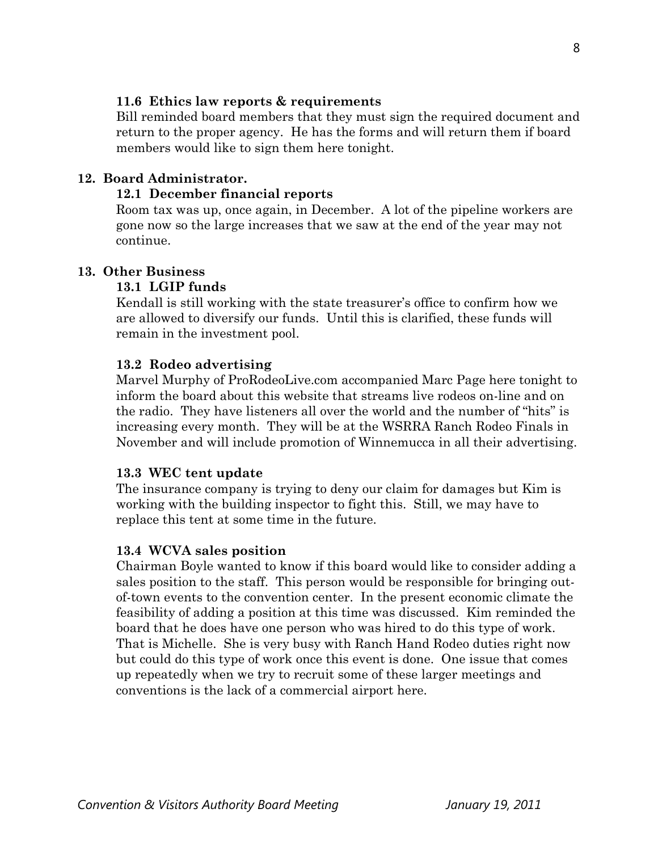### **11.6 Ethics law reports & requirements**

Bill reminded board members that they must sign the required document and return to the proper agency. He has the forms and will return them if board members would like to sign them here tonight.

### **12. Board Administrator.**

### **12.1 December financial reports**

Room tax was up, once again, in December. A lot of the pipeline workers are gone now so the large increases that we saw at the end of the year may not continue.

### **13. Other Business**

#### **13.1 LGIP funds**

Kendall is still working with the state treasurer's office to confirm how we are allowed to diversify our funds. Until this is clarified, these funds will remain in the investment pool.

### **13.2 Rodeo advertising**

Marvel Murphy of ProRodeoLive.com accompanied Marc Page here tonight to inform the board about this website that streams live rodeos on-line and on the radio. They have listeners all over the world and the number of "hits" is increasing every month. They will be at the WSRRA Ranch Rodeo Finals in November and will include promotion of Winnemucca in all their advertising.

#### **13.3 WEC tent update**

The insurance company is trying to deny our claim for damages but Kim is working with the building inspector to fight this. Still, we may have to replace this tent at some time in the future.

#### **13.4 WCVA sales position**

Chairman Boyle wanted to know if this board would like to consider adding a sales position to the staff. This person would be responsible for bringing out of-town events to the convention center. In the present economic climate the feasibility of adding a position at this time was discussed. Kim reminded the board that he does have one person who was hired to do this type of work. That is Michelle. She is very busy with Ranch Hand Rodeo duties right now but could do this type of work once this event is done. One issue that comes up repeatedly when we try to recruit some of these larger meetings and conventions is the lack of a commercial airport here.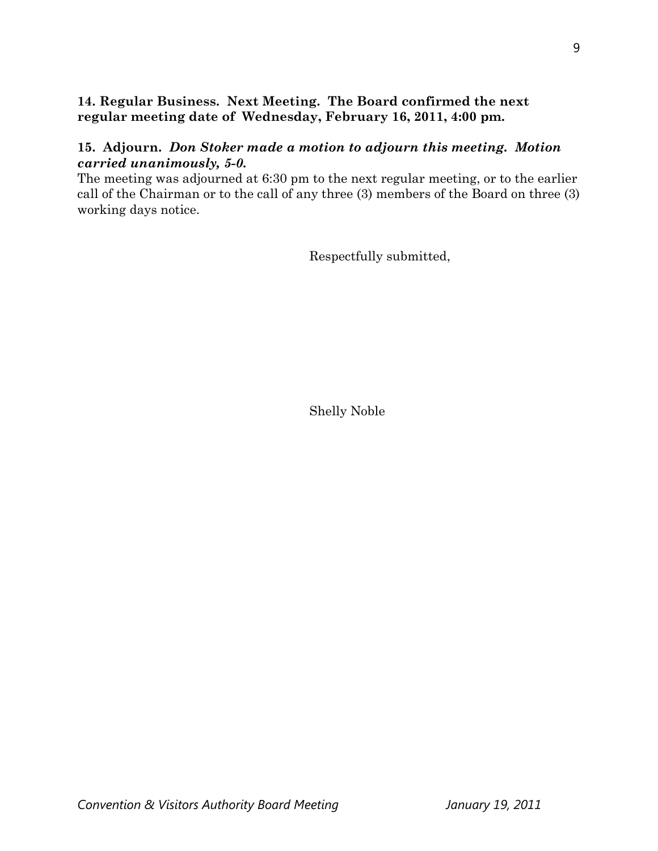### **14. Regular Business. Next Meeting. The Board confirmed the next regular meeting date of Wednesday, February 16, 2011, 4:00 pm.**

### **15. Adjourn.** *Don Stoker made a motion to adjourn this meeting. Motion carried unanimously, 5-0.*

The meeting was adjourned at 6:30 pm to the next regular meeting, or to the earlier call of the Chairman or to the call of any three (3) members of the Board on three (3) working days notice.

Respectfully submitted,

Shelly Noble